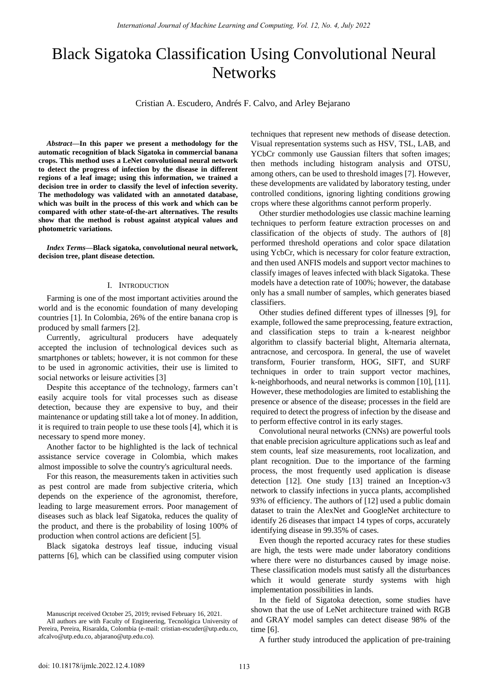# Black Sigatoka Classification Using Convolutional Neural **Networks**

Cristian A. Escudero, Andrés F. Calvo, and Arley Bejarano

*Abstract***—In this paper we present a methodology for the automatic recognition of black Sigatoka in commercial banana crops. This method uses a LeNet convolutional neural network to detect the progress of infection by the disease in different regions of a leaf image; using this information, we trained a decision tree in order to classify the level of infection severity. The methodology was validated with an annotated database, which was built in the process of this work and which can be compared with other state-of-the-art alternatives. The results show that the method is robust against atypical values and photometric variations.** 

*Index Terms***—Black sigatoka, convolutional neural network, decision tree, plant disease detection.** 

### I. INTRODUCTION

Farming is one of the most important activities around the world and is the economic foundation of many developing countries [1]. In Colombia, 26% of the entire banana crop is produced by small farmers [2].

Currently, agricultural producers have adequately accepted the inclusion of technological devices such as smartphones or tablets; however, it is not common for these to be used in agronomic activities, their use is limited to social networks or leisure activities [3]

Despite this acceptance of the technology, farmers can't easily acquire tools for vital processes such as disease detection, because they are expensive to buy, and their maintenance or updating still take a lot of money. In addition, it is required to train people to use these tools [4], which it is necessary to spend more money.

Another factor to be highlighted is the lack of technical assistance service coverage in Colombia, which makes almost impossible to solve the country's agricultural needs.

For this reason, the measurements taken in activities such as pest control are made from subjective criteria, which depends on the experience of the agronomist, therefore, leading to large measurement errors. Poor management of diseases such as black leaf Sigatoka, reduces the quality of the product, and there is the probability of losing 100% of production when control actions are deficient [5].

Black sigatoka destroys leaf tissue, inducing visual patterns [6], which can be classified using computer vision

techniques that represent new methods of disease detection. Visual representation systems such as HSV, TSL, LAB, and YCbCr commonly use Gaussian filters that soften images; then methods including histogram analysis and OTSU, among others, can be used to threshold images [7]. However, these developments are validated by laboratory testing, under controlled conditions, ignoring lighting conditions growing crops where these algorithms cannot perform properly.

Other sturdier methodologies use classic machine learning techniques to perform feature extraction processes on and classification of the objects of study. The authors of [8] performed threshold operations and color space dilatation using YcbCr, which is necessary for color feature extraction, and then used ANFIS models and support vector machines to classify images of leaves infected with black Sigatoka. These models have a detection rate of 100%; however, the database only has a small number of samples, which generates biased classifiers.

Other studies defined different types of illnesses [9], for example, followed the same preprocessing, feature extraction, and classification steps to train a k-nearest neighbor algorithm to classify bacterial blight, Alternaria alternata, antracnose, and cercospora. In general, the use of wavelet transform, Fourier transform, HOG, SIFT, and SURF techniques in order to train support vector machines, k-neighborhoods, and neural networks is common [10], [11]. However, these methodologies are limited to establishing the presence or absence of the disease; processes in the field are required to detect the progress of infection by the disease and to perform effective control in its early stages.

Convolutional neural networks (CNNs) are powerful tools that enable precision agriculture applications such as leaf and stem counts, leaf size measurements, root localization, and plant recognition. Due to the importance of the farming process, the most frequently used application is disease detection [12]. One study [13] trained an Inception-v3 network to classify infections in yucca plants, accomplished 93% of efficiency. The authors of [12] used a public domain dataset to train the AlexNet and GoogleNet architecture to identify 26 diseases that impact 14 types of corps, accurately identifying disease in 99.35% of cases.

Even though the reported accuracy rates for these studies are high, the tests were made under laboratory conditions where there were no disturbances caused by image noise. These classification models must satisfy all the disturbances which it would generate sturdy systems with high implementation possibilities in lands.

In the field of Sigatoka detection, some studies have shown that the use of LeNet architecture trained with RGB and GRAY model samples can detect disease 98% of the time [6].

A further study introduced the application of pre-training

Manuscript received October 25, 2019; revised February 16, 2021.

All authors are with Faculty of Engineering, Tecnológica University of Pereira, Pereira, Risaralda, Colombia (e-mail: cristian-escuder@utp.edu.co, afcalvo@utp.edu.co, abjarano@utp.edu.co).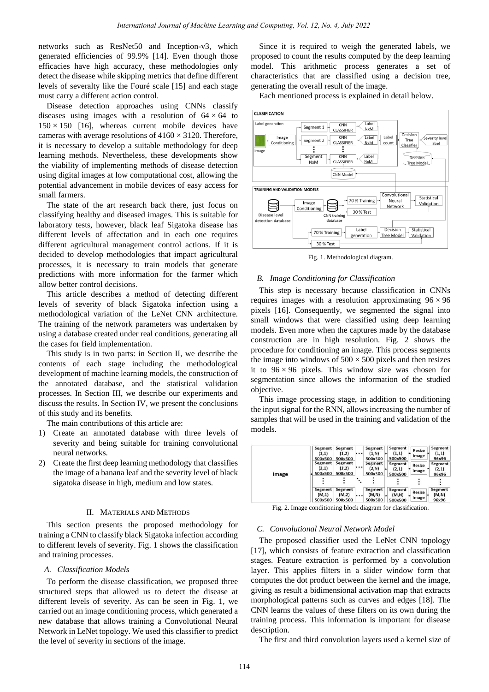networks such as ResNet50 and Inception-v3, which generated efficiencies of 99.9% [14]. Even though those efficacies have high accuracy, these methodologies only detect the disease while skipping metrics that define different levels of severalty like the Fouré scale [15] and each stage must carry a different action control.

Disease detection approaches using CNNs classify diseases using images with a resolution of  $64 \times 64$  to  $150 \times 150$  [16], whereas current mobile devices have cameras with average resolutions of  $4160 \times 3120$ . Therefore, it is necessary to develop a suitable methodology for deep learning methods. Nevertheless, these developments show the viability of implementing methods of disease detection using digital images at low computational cost, allowing the potential advancement in mobile devices of easy access for small farmers.

The state of the art research back there, just focus on classifying healthy and diseased images. This is suitable for laboratory tests, however, black leaf Sigatoka disease has different levels of affectation and in each one requires different agricultural management control actions. If it is decided to develop methodologies that impact agricultural processes, it is necessary to train models that generate predictions with more information for the farmer which allow better control decisions.

This article describes a method of detecting different levels of severity of black Sigatoka infection using a methodological variation of the LeNet CNN architecture. The training of the network parameters was undertaken by using a database created under real conditions, generating all the cases for field implementation.

This study is in two parts: in Section II, we describe the contents of each stage including the methodological development of machine learning models, the construction of the annotated database, and the statistical validation processes. In Section III, we describe our experiments and discuss the results. In Section IV, we present the conclusions of this study and its benefits.

The main contributions of this article are:

- 1) Create an annotated database with three levels of severity and being suitable for training convolutional neural networks.
- 2) Create the first deep learning methodology that classifies the image of a banana leaf and the severity level of black sigatoka disease in high, medium and low states.

### II. MATERIALS AND METHODS

This section presents the proposed methodology for training a CNN to classify black Sigatoka infection according to different levels of severity. Fig. 1 shows the classification and training processes.

# *A. Classification Models*

To perform the disease classification, we proposed three structured steps that allowed us to detect the disease at different levels of severity. As can be seen in Fig. 1, we carried out an image conditioning process, which generated a new database that allows training a Convolutional Neural Network in LeNet topology. We used this classifier to predict the level of severity in sections of the image.

Since it is required to weigh the generated labels, we proposed to count the results computed by the deep learning model. This arithmetic process generates a set of characteristics that are classified using a decision tree, generating the overall result of the image.

Each mentioned process is explained in detail below.



Fig. 1. Methodological diagram.

#### *B. Image Conditioning for Classification*

This step is necessary because classification in CNNs requires images with a resolution approximating  $96 \times 96$ pixels [16]. Consequently, we segmented the signal into small windows that were classified using deep learning models. Even more when the captures made by the database construction are in high resolution. Fig. 2 shows the procedure for conditioning an image. This process segments the image into windows of  $500 \times 500$  pixels and then resizes it to  $96 \times 96$  pixels. This window size was chosen for segmentation since allows the information of the studied objective.

This image processing stage, in addition to conditioning the input signal for the RNN, allows increasing the number of samples that will be used in the training and validation of the models.

| Image | Segment<br>(1,1)<br>500×500 | Segment<br>(1,2)<br>500x500 | $\cdots$ | Segment<br>(1,N)<br>500x500 | Segment<br>(1,1)<br>500x500 | Resize<br>image | Segment<br>(1,1)<br>96x96 |
|-------|-----------------------------|-----------------------------|----------|-----------------------------|-----------------------------|-----------------|---------------------------|
|       | Segment<br>(2,1)<br>500x500 | Segment<br>(2,2)<br>500x500 |          | Segment<br>(2,N)<br>500x500 | Segment<br>(2,1)<br>500x500 | Resize<br>image | Segment<br>(2,1)<br>96x96 |
|       |                             |                             |          |                             |                             |                 |                           |
|       | Segment<br>(M,1)<br>500x500 | Segment<br>(M,2)<br>500x500 |          | Segment<br>(M,N)<br>500x500 | Segment<br>(M,N)<br>500x500 | Resize<br>image | Segment<br>(M,N)<br>96x96 |

Fig. 2. Image conditioning block diagram for classification.

#### *C. Convolutional Neural Network Model*

The proposed classifier used the LeNet CNN topology [17], which consists of feature extraction and classification stages. Feature extraction is performed by a convolution layer. This applies filters in a slider window form that computes the dot product between the kernel and the image, giving as result a bidimensional activation map that extracts morphological patterns such as curves and edges [18]. The CNN learns the values of these filters on its own during the training process. This information is important for disease description.

The first and third convolution layers used a kernel size of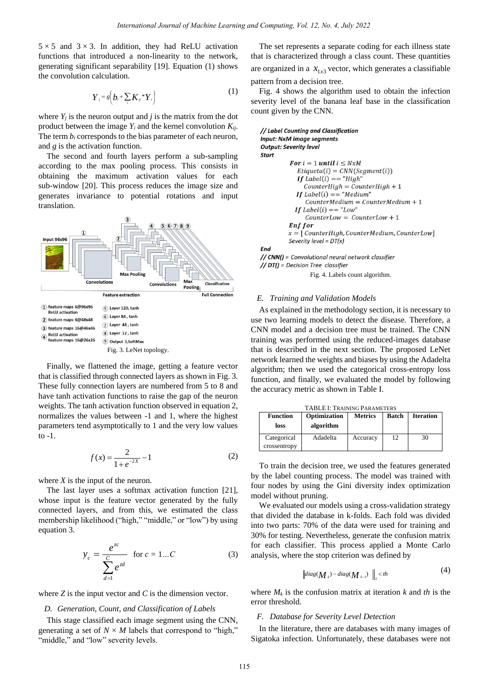$5 \times 5$  and  $3 \times 3$ . In addition, they had ReLU activation functions that introduced a non-linearity to the network, generating significant separability [19]. Equation (1) shows the convolution calculation.

$$
Y_j = s\left(b_i + \sum_i K_{ij} * Y_i\right) \tag{1}
$$

where  $Y_i$  is the neuron output and  $j$  is the matrix from the dot product between the image  $Y_i$  and the kernel convolution  $K_{ii}$ . The term  $b_i$  corresponds to the bias parameter of each neuron, and *g* is the activation function.

The second and fourth layers perform a sub-sampling according to the max pooling process. This consists in obtaining the maximum activation values for each sub-window [20]. This process reduces the image size and generates invariance to potential rotations and input translation.



Finally, we flattened the image, getting a feature vector that is classified through connected layers as shown in Fig. 3. These fully connection layers are numbered from 5 to 8 and have tanh activation functions to raise the gap of the neuron weights. The tanh activation function observed in equation 2, normalizes the values between -1 and 1, where the highest parameters tend asymptotically to 1 and the very low values to -1.

$$
f(x) = \frac{2}{1 + e^{-2x}} - 1\tag{2}
$$

where *X* is the input of the neuron.

The last layer uses a softmax activation function [21], whose input is the feature vector generated by the fully connected layers, and from this, we estimated the class membership likelihood ("high," "middle," or "low") by using equation 3.

$$
y_c = \frac{e^{zc}}{\sum_{d=1}^{C} e^{zd}} \quad \text{for } c = 1...C \tag{3}
$$

where *Z* is the input vector and *C* is the dimension vector.

# *D. Generation, Count, and Classification of Labels*

This stage classified each image segment using the CNN, generating a set of  $N \times M$  labels that correspond to "high," "middle," and "low" severity levels.

The set represents a separate coding for each illness state that is characterized through a class count. These quantities are organized in a  $x_{1x3}$  vector, which generates a classifiable pattern from a decision tree.

Fig. 4 shows the algorithm used to obtain the infection severity level of the banana leaf base in the classification count given by the CNN.

```
// Label Counting and Classification
Input: NxM image segments
Output: Severity level
Start
```

```
For i = 1 until i \leq NxMEtiqueta(i) = CNN(Segment(i))If Label(i) == "High"
              CounterHigh = CounterHigh + 1If Label(i) == "Median"CounterMedian = CounterMedian + 1If Label(i) == "Low"CounterLow = CounterLow + 1Enf for
         x = [CounterHigh, CounterMedian, CounterLow]Severity level = DT(x)End
// CNN() = Convolutional neural network classifier
// DT() = Decision Tree classifier
```
Fig. 4. Labels count algorithm.

#### *E. Training and Validation Models*

As explained in the methodology section, it is necessary to use two learning models to detect the disease. Therefore, a CNN model and a decision tree must be trained. The CNN training was performed using the reduced-images database that is described in the next section. The proposed LeNet network learned the weights and biases by using the Adadelta algorithm; then we used the categorical cross-entropy loss function, and finally, we evaluated the model by following the accuracy metric as shown in Table I.

| <b>Function</b><br>loss     | Optimization<br>algorithm | <b>Metrics</b> | <b>Batch</b> | <b>Iteration</b> |
|-----------------------------|---------------------------|----------------|--------------|------------------|
| Categorical<br>crossentropy | Adadelta                  | Accuracy       | 12           | 30               |

TABLE I: TRAINING PARAMETERS

To train the decision tree, we used the features generated by the label counting process. The model was trained with four nodes by using the Gini diversity index optimization model without pruning.

We evaluated our models using a cross-validation strategy that divided the database in k-folds. Each fold was divided into two parts: 70% of the data were used for training and 30% for testing. Nevertheless, generate the confusion matrix for each classifier. This process applied a Monte Carlo analysis, where the stop criterion was defined by

$$
\left\|diag(M_k) - diag(M_{k-1})\right\|_{2} < th
$$
\n(4)

where  $M_k$  is the confusion matrix at iteration  $k$  and  $th$  is the error threshold.

#### *F. Database for Severity Level Detection*

In the literature, there are databases with many images of Sigatoka infection. Unfortunately, these databases were not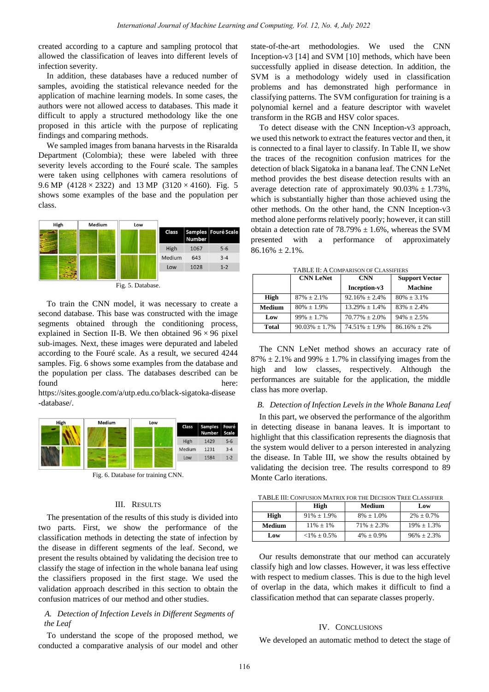created according to a capture and sampling protocol that allowed the classification of leaves into different levels of infection severity.

In addition, these databases have a reduced number of samples, avoiding the statistical relevance needed for the application of machine learning models. In some cases, the authors were not allowed access to databases. This made it difficult to apply a structured methodology like the one proposed in this article with the purpose of replicating findings and comparing methods.

We sampled images from banana harvests in the Risaralda Department (Colombia); these were labeled with three severity levels according to the Fouré scale. The samples were taken using cellphones with camera resolutions of 9.6 MP (4128  $\times$  2322) and 13 MP (3120  $\times$  4160). Fig. 5 shows some examples of the base and the population per class.



Fig. 5. Database.

To train the CNN model, it was necessary to create a second database. This base was constructed with the image segments obtained through the conditioning process, explained in Section II-B. We then obtained  $96 \times 96$  pixel sub-images. Next, these images were depurated and labeled according to the Fouré scale. As a result, we secured 4244 samples. Fig. 6 shows some examples from the database and the population per class. The databases described can be found here:

https://sites.google.com/a/utp.edu.co/black-sigatoka-disease -database/.



Fig. 6. Database for training CNN.

#### III. RESULTS

The presentation of the results of this study is divided into two parts. First, we show the performance of the classification methods in detecting the state of infection by the disease in different segments of the leaf. Second, we present the results obtained by validating the decision tree to classify the stage of infection in the whole banana leaf using the classifiers proposed in the first stage. We used the validation approach described in this section to obtain the confusion matrices of our method and other studies.

# *A. Detection of Infection Levels in Different Segments of the Leaf*

To understand the scope of the proposed method, we conducted a comparative analysis of our model and other state-of-the-art methodologies. We used the CNN Inception-v3 [14] and SVM [10] methods, which have been successfully applied in disease detection. In addition, the SVM is a methodology widely used in classification problems and has demonstrated high performance in classifying patterns. The SVM configuration for training is a polynomial kernel and a feature descriptor with wavelet transform in the RGB and HSV color spaces.

To detect disease with the CNN Inception-v3 approach, we used this network to extract the features vector and then, it is connected to a final layer to classify. In Table II, we show the traces of the recognition confusion matrices for the detection of black Sigatoka in a banana leaf. The CNN LeNet method provides the best disease detection results with an average detection rate of approximately  $90.03\% \pm 1.73\%$ , which is substantially higher than those achieved using the other methods. On the other hand, the CNN Inception-v3 method alone performs relatively poorly; however, it can still obtain a detection rate of 78.79%  $\pm 1.6$ %, whereas the SVM presented with a performance of approximately  $86.16\% \pm 2.1\%$ .

|        | <b>CNN LeNet</b> | <b>CNN</b>          | <b>Support Vector</b> |  |
|--------|------------------|---------------------|-----------------------|--|
|        |                  | Inception-v3        | <b>Machine</b>        |  |
| High   | $87\% \pm 2.1\%$ | $92.16\% \pm 2.4\%$ | $80\% \pm 3.1\%$      |  |
| Medium | $80\% \pm 1.9\%$ | $13.29\% \pm 1.4\%$ | $83\% + 2.4\%$        |  |
| Low    | $99\% \pm 1.7\%$ | $70.77\% \pm 2.0\%$ | $94\% \pm 2.5\%$      |  |

**Total** 90.03%  $\pm 1.7\%$  74.51%  $\pm 1.9\%$  86.16%  $\pm 2\%$ 

TABLE II: A COMPARISON OF CLASSIFIERS

The CNN LeNet method shows an accuracy rate of 87%  $\pm$  2.1% and 99%  $\pm$  1.7% in classifying images from the high and low classes, respectively. Although the performances are suitable for the application, the middle class has more overlap.

# *B. Detection of Infection Levels in the Whole Banana Leaf*

In this part, we observed the performance of the algorithm in detecting disease in banana leaves. It is important to highlight that this classification represents the diagnosis that the system would deliver to a person interested in analyzing the disease. In Table III, we show the results obtained by validating the decision tree. The results correspond to 89 Monte Carlo iterations.

| TABLE III: CONFUSION MATRIX FOR THE DECISION TREE CLASSIFIER |      |        |      |  |
|--------------------------------------------------------------|------|--------|------|--|
|                                                              | High | Medium | Low. |  |

|        | High             | <b>Medium</b>    | Low              |
|--------|------------------|------------------|------------------|
| High   | $91\% \pm 1.9\%$ | $8\% \pm 1.0\%$  | $2\% \pm 0.7\%$  |
| Medium | $11\% \pm 1\%$   | $71\% \pm 2.3\%$ | $19\% \pm 1.3\%$ |
| Low    | $<1\% \pm 0.5\%$ | $4\% \pm 0.9\%$  | $96\% \pm 2.3\%$ |

Our results demonstrate that our method can accurately classify high and low classes. However, it was less effective with respect to medium classes. This is due to the high level of overlap in the data, which makes it difficult to find a classification method that can separate classes properly.

### IV. CONCLUSIONS

We developed an automatic method to detect the stage of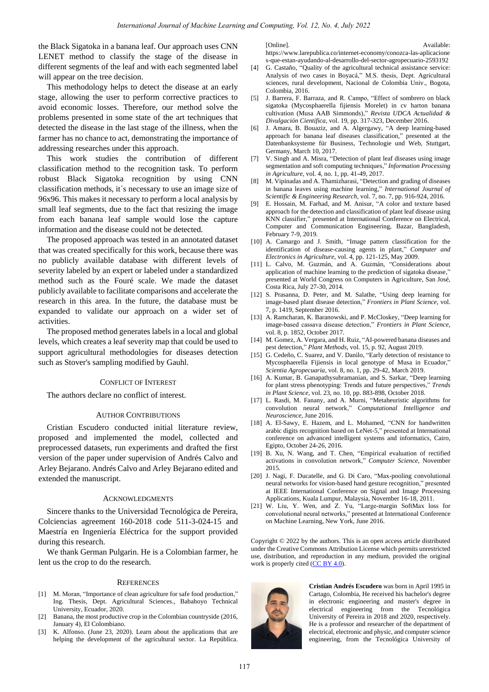the Black Sigatoka in a banana leaf. Our approach uses CNN LENET method to classify the stage of the disease in different segments of the leaf and with each segmented label will appear on the tree decision.

This methodology helps to detect the disease at an early stage, allowing the user to perform corrective practices to avoid economic losses. Therefore, our method solve the problems presented in some state of the art techniques that detected the disease in the last stage of the illness, when the farmer has no chance to act, demonstrating the importance of addressing researches under this approach.

This work studies the contribution of different classification method to the recognition task. To perform robust Black Sigatoka recognition by using CNN classification methods, it 's necessary to use an image size of 96x96. This makes it necessary to perform a local analysis by small leaf segments, due to the fact that resizing the image from each banana leaf sample would lose the capture information and the disease could not be detected.

The proposed approach was tested in an annotated dataset that was created specifically for this work, because there was no publicly available database with different levels of severity labeled by an expert or labeled under a standardized method such as the Fouré scale. We made the dataset publicly available to facilitate comparisons and accelerate the research in this area. In the future, the database must be expanded to validate our approach on a wider set of activities.

The proposed method generates labels in a local and global levels, which creates a leaf severity map that could be used to support agricultural methodologies for diseases detection such as Stover's sampling modified by Gauhl.

#### CONFLICT OF INTEREST

The authors declare no conflict of interest.

## AUTHOR CONTRIBUTIONS

Cristian Escudero conducted initial literature review, proposed and implemented the model, collected and preprocessed datasets, run experiments and drafted the first version of the paper under supervision of Andrés Calvo and Arley Bejarano. Andrés Calvo and Arley Bejarano edited and extended the manuscript.

### ACKNOWLEDGMENTS

Sincere thanks to the Universidad Tecnológica de Pereira, Colciencias agreement 160-2018 code 511-3-024-15 and Maestr á en Ingenier á Eléctrica for the support provided during this research.

We thank German Pulgarin. He is a Colombian farmer, he lent us the crop to do the research.

#### **REFERENCES**

- [1] M. Moran, "Importance of clean agriculture for safe food production," Ing. Thesis, Dept. Agricultural Sciences., Babahoyo Technical University, Ecuador, 2020.
- [2] Banana, the most productive crop in the Colombian countryside (2016, January 4), El Colombiano.
- [3] K. Alfonso. (June 23, 2020). Learn about the applications that are helping the development of the agricultural sector. La República.

[Online]. Available: https://www.larepublica.co/internet-economy/conozca-las-aplicacione s-que-estan-ayudando-al-desarrollo-del-sector-agropecuario-2593192

- [4] G. Castaño, "Quality of the agricultural technical assistance service: Analysis of two cases in Boyacá," M.S. thesis, Dept. Agricultural sciences, rural development, Nacional de Colombia Univ., Bogota, Colombia, 2016.
- [5] J. Barrera, F. Barraza, and R. Campo, "Effect of sombrero on black sigatoka (Mycosphaerella fijiensis Morelet) in cv harton banana cultivation (Musa AAB Simmonds)," *Revista UDCA Actualidad & Divulgación Científica*, vol. 19, pp. 317-323, December 2016.
- [6] J. Amara, B. Bouaziz, and A. Algergawy, "A deep learning-based approach for banana leaf diseases classification," presented at the Datenbanksysteme für Business, Technologie und Web, Stuttgart, Germany, March 10, 2017.
- [7] V. Singh and A. Misra, "Detection of plant leaf diseases using image segmentation and soft computing techniques," *Information Processing in Agriculture*, vol. 4, no. 1, pp. 41-49, 2017.
- [8] M. Vipinadas and A. Thamizharasi, "Detection and grading of diseases in banana leaves using machine learning," *International Journal of Scientific & Engineering Research*, vol. 7, no. 7, pp. 916-924, 2016.
- [9] E. Hossain, M. Farhad, and M. Anisur, "A color and texture based approach for the detection and classification of plant leaf disease using KNN classifier," presented at International Conference on Electrical, Computer and Communication Engineering, Bazar, Bangladesh, February 7-9, 2019.
- [10] A. Camargo and J. Smith, "Image pattern classification for the identification of disease-causing agents in plant," *Computer and Electronics in Agriculture*, vol. 4, pp. 121-125, May 2009.
- [11] L. Calvo, M. Guzmán, and A. Guzmán, "Considerations about application of machine learning to the prediction of sigatoka disease," presented at World Congress on Computers in Agriculture, San José, Costa Rica, July 27-30, 2014.
- [12] S. Prasanna, D. Peter, and M. Salathe, "Using deep learning for image-based plant disease detection," *Frontiers in Plant Science*, vol. 7, p. 1419, September 2016.
- [13] A. Ramcharan, K. Baranowski, and P. McCloskey, "Deep learning for image-based cassava disease detection," *Frontiers in Plant Science*, vol. 8, p. 1852, October 2017.
- [14] M. Gomez, A. Vergara, and H. Ruiz, "AI-powered banana diseases and pest detection," *Plant Methods*, vol. 15, p. 92, August 2019.
- [15] G. Cedeño, C. Suarez, and V. Danilo, "Early detection of resistance to Mycosphaerella Fijiensis in local genotype of Musa in Ecuador," *Scientia Agropecuaria*, vol. 8, no. 1, pp. 29-42, March 2019.
- [16] A. Kumar, B. Ganapathysubramanian, and S. Sarkar, "Deep learning for plant stress phenotyping: Trends and future perspectives," *Trends in Plant Science*, vol. 23, no. 10, pp. 883-898, October 2018.
- [17] L. Rasdi, M. Fanany, and A. Murni, "Metaheuristic algorithms for convolution neural network," C*omputational Intelligence and Neuroscience*, June 2016.
- [18] A. El-Sawy, E. Hazem, and L. Mohamed, "CNN for handwritten arabic digits recognition based on LeNet-5," presented at International conference on advanced intelligent systems and informatics, Cairo, Egipto, October 24-26, 2016.
- [19] B. Xu, N. Wang, and T. Chen, "Empirical evaluation of rectified activations in convolution network," *Computer Science*, November 2015.
- [20] J. Nagi, F. Ducatelle, and G. Di Caro, "Max-pooling convolutional neural networks for vision-based hand gesture recognition," presented at IEEE International Conference on Signal and Image Processing Applications, Kuala Lumpur, Malaysia, November 16-18, 2011.
- [21] W. Liu, Y. Wen, and Z. Yu, "Large-margin SoftMax loss for convolutional neural networks," presented at International Conference on Machine Learning, New York, June 2016.

Copyright © 2022 by the authors. This is an open access article distributed under the Creative Commons Attribution License which permits unrestricted use, distribution, and reproduction in any medium, provided the original work is properly cited [\(CC BY 4.0\)](https://creativecommons.org/licenses/by/4.0/).



**Cristian Andrés Escudero** was born in April 1995 in Cartago, Colombia, He received his bachelor's degree in electronic engineering and master's degree in electrical engineering from the Tecnológica University of Pereira in 2018 and 2020, respectively. He is a professor and researcher of the department of electrical, electronic and physic, and computer science engineering, from the Tecnológica University of